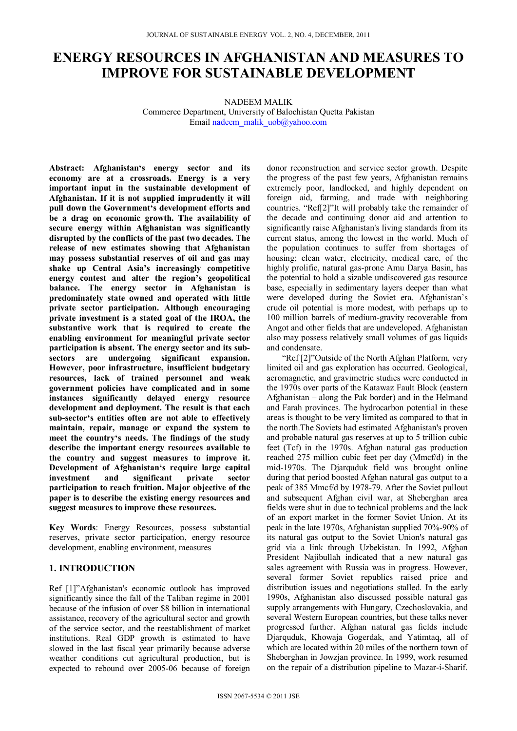# **ENERGY RESOURCES IN AFGHANISTAN AND MEASURES TO IMPROVE FOR SUSTAINABLE DEVELOPMENT**

NADEEM MALIK Commerce Department, University of Balochistan Quetta Pakistan Email nadeem\_malik\_uob@yahoo.com

**Abstract: Afghanistan's energy sector and its economy are at a crossroads. Energy is a very important input in the sustainable development of Afghanistan. If it is not supplied imprudently it will pull down the Government's development efforts and be a drag on economic growth. The availability of secure energy within Afghanistan was significantly disrupted by the conflicts of the past two decades. The release of new estimates showing that Afghanistan may possess substantial reserves of oil and gas may shake up Central Asia's increasingly competitive energy contest and alter the region's geopolitical balance. The energy sector in Afghanistan is predominately state owned and operated with little private sector participation. Although encouraging private investment is a stated goal of the IROA, the substantive work that is required to create the enabling environment for meaningful private sector participation is absent. The energy sector and its subsectors are undergoing significant expansion. However, poor infrastructure, insufficient budgetary resources, lack of trained personnel and weak government policies have complicated and in some instances significantly delayed energy resource development and deployment. The result is that each sub-sector's entities often are not able to effectively maintain, repair, manage or expand the system to meet the country's needs. The findings of the study describe the important energy resources available to the country and suggest measures to improve it. Development of Afghanistan's require large capital investment and significant private sector participation to reach fruition. Major objective of the paper is to describe the existing energy resources and suggest measures to improve these resources.** 

**Key Words**: Energy Resources, possess substantial reserves, private sector participation, energy resource development, enabling environment, measures

# **1. INTRODUCTION**

Ref [1]"Afghanistan's economic outlook has improved significantly since the fall of the Taliban regime in 2001 because of the infusion of over \$8 billion in international assistance, recovery of the agricultural sector and growth of the service sector, and the reestablishment of market institutions. Real GDP growth is estimated to have slowed in the last fiscal year primarily because adverse weather conditions cut agricultural production, but is expected to rebound over 2005-06 because of foreign

donor reconstruction and service sector growth. Despite the progress of the past few years, Afghanistan remains extremely poor, landlocked, and highly dependent on foreign aid, farming, and trade with neighboring countries. "Ref[2]"It will probably take the remainder of the decade and continuing donor aid and attention to significantly raise Afghanistan's living standards from its current status, among the lowest in the world. Much of the population continues to suffer from shortages of housing; clean water, electricity, medical care, of the highly prolific, natural gas-prone Amu Darya Basin, has the potential to hold a sizable undiscovered gas resource base, especially in sedimentary layers deeper than what were developed during the Soviet era. Afghanistan's crude oil potential is more modest, with perhaps up to 100 million barrels of medium-gravity recoverable from Angot and other fields that are undeveloped. Afghanistan also may possess relatively small volumes of gas liquids and condensate.

"Ref [2]"Outside of the North Afghan Platform, very limited oil and gas exploration has occurred. Geological, aeromagnetic, and gravimetric studies were conducted in the 1970s over parts of the Katawaz Fault Block (eastern Afghanistan – along the Pak border) and in the Helmand and Farah provinces. The hydrocarbon potential in these areas is thought to be very limited as compared to that in the north.The Soviets had estimated Afghanistan's proven and probable natural gas reserves at up to 5 trillion cubic feet (Tcf) in the 1970s. Afghan natural gas production reached 275 million cubic feet per day (Mmcf/d) in the mid-1970s. The Djarquduk field was brought online during that period boosted Afghan natural gas output to a peak of 385 Mmcf/d by 1978-79. After the Soviet pullout and subsequent Afghan civil war, at Sheberghan area fields were shut in due to technical problems and the lack of an export market in the former Soviet Union. At its peak in the late 1970s, Afghanistan supplied 70%-90% of its natural gas output to the Soviet Union's natural gas grid via a link through Uzbekistan. In 1992, Afghan President Najibullah indicated that a new natural gas sales agreement with Russia was in progress. However, several former Soviet republics raised price and distribution issues and negotiations stalled. In the early 1990s, Afghanistan also discussed possible natural gas supply arrangements with Hungary, Czechoslovakia, and several Western European countries, but these talks never progressed further. Afghan natural gas fields include Djarquduk, Khowaja Gogerdak, and Yatimtaq, all of which are located within 20 miles of the northern town of Sheberghan in Jowzjan province. In 1999, work resumed on the repair of a distribution pipeline to Mazar-i-Sharif.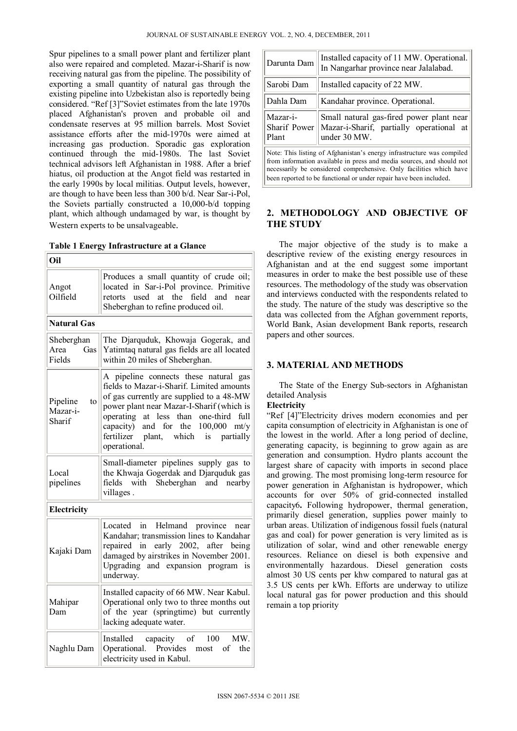Spur pipelines to a small power plant and fertilizer plant also were repaired and completed. Mazar-i-Sharif is now receiving natural gas from the pipeline. The possibility of exporting a small quantity of natural gas through the existing pipeline into Uzbekistan also is reportedly being considered. "Ref [3]"Soviet estimates from the late 1970s placed Afghanistan's proven and probable oil and condensate reserves at 95 million barrels. Most Soviet assistance efforts after the mid-1970s were aimed at increasing gas production. Sporadic gas exploration continued through the mid-1980s. The last Soviet technical advisors left Afghanistan in 1988. After a brief hiatus, oil production at the Angot field was restarted in the early 1990s by local militias. Output levels, however, are though to have been less than 300 b/d. Near Sar-i-Pol, the Soviets partially constructed a 10,000-b/d topping plant, which although undamaged by war, is thought by Western experts to be unsalvageable.

## **Table 1 Energy Infrastructure at a Glance**

| Oil                                  |                                                                                                                                                                                                                                                                                                                                          |
|--------------------------------------|------------------------------------------------------------------------------------------------------------------------------------------------------------------------------------------------------------------------------------------------------------------------------------------------------------------------------------------|
| Angot<br>Oilfield                    | Produces a small quantity of crude oil;<br>located in Sar-i-Pol province. Primitive<br>retorts used at the field and<br>near<br>Sheberghan to refine produced oil.                                                                                                                                                                       |
| <b>Natural Gas</b>                   |                                                                                                                                                                                                                                                                                                                                          |
| Sheberghan<br>Area<br>Gas<br>Fields  | The Djarquduk, Khowaja Gogerak, and<br>Yatimtaq natural gas fields are all located<br>within 20 miles of Sheberghan.                                                                                                                                                                                                                     |
| Pipeline<br>to<br>Mazar-i-<br>Sharif | A pipeline connects these natural gas<br>fields to Mazar-i-Sharif. Limited amounts<br>of gas currently are supplied to a 48-MW<br>power plant near Mazar-I-Sharif (which is<br>full<br>operating<br>at less<br>than one-third<br>the 100,000<br>capacity)<br>and for<br>m t/v<br>fertilizer<br>plant, which is partially<br>operational. |
| Local<br>pipelines                   | Small-diameter pipelines supply gas to<br>the Khwaja Gogerdak and Djarquduk gas<br>with Sheberghan and nearby<br>fields<br>villages.                                                                                                                                                                                                     |
| Electricity                          |                                                                                                                                                                                                                                                                                                                                          |
| Kajaki Dam                           | in Helmand province near<br>Located<br>Kandahar; transmission lines to Kandahar<br>repaired in early 2002, after being<br>damaged by airstrikes in November 2001.<br>Upgrading and expansion program is<br>underway.                                                                                                                     |
| Mahipar<br>Dam                       | Installed capacity of 66 MW. Near Kabul.<br>Operational only two to three months out<br>of the year (springtime) but currently<br>lacking adequate water.                                                                                                                                                                                |
| Naghlu Dam                           | 100<br>MW.<br>Installed capacity of<br>Operational. Provides most of the<br>electricity used in Kabul.                                                                                                                                                                                                                                   |

| Darunta Dam                                                                                                                                                                                                            | Installed capacity of 11 MW. Operational.<br>In Nangarhar province near Jalalabad.                   |  |  |  |  |  |
|------------------------------------------------------------------------------------------------------------------------------------------------------------------------------------------------------------------------|------------------------------------------------------------------------------------------------------|--|--|--|--|--|
| Sarobi Dam                                                                                                                                                                                                             | Installed capacity of 22 MW.                                                                         |  |  |  |  |  |
| Dahla Dam                                                                                                                                                                                                              | Kandahar province. Operational.                                                                      |  |  |  |  |  |
| Mazar-i-<br><b>Sharif Power</b><br>Plant                                                                                                                                                                               | Small natural gas-fired power plant near<br>Mazar-i-Sharif, partially operational at<br>under 30 MW. |  |  |  |  |  |
| Note: This listing of Afghanistan's energy infrastructure was compiled<br>from information available in press and media sources, and should not<br>necessarily be considered comprehensive. Only facilities which have |                                                                                                      |  |  |  |  |  |
| been reported to be functional or under repair have been included.                                                                                                                                                     |                                                                                                      |  |  |  |  |  |

# **2. METHODOLOGY AND OBJECTIVE OF THE STUDY**

The major objective of the study is to make a descriptive review of the existing energy resources in Afghanistan and at the end suggest some important measures in order to make the best possible use of these resources. The methodology of the study was observation and interviews conducted with the respondents related to the study. The nature of the study was descriptive so the data was collected from the Afghan government reports, World Bank, Asian development Bank reports, research papers and other sources.

# **3. MATERIAL AND METHODS**

The State of the Energy Sub-sectors in Afghanistan detailed Analysis

# **Electricity**

"Ref [4]"Electricity drives modern economies and per capita consumption of electricity in Afghanistan is one of the lowest in the world. After a long period of decline, generating capacity, is beginning to grow again as are generation and consumption. Hydro plants account the largest share of capacity with imports in second place and growing. The most promising long-term resource for power generation in Afghanistan is hydropower, which accounts for over 50% of grid-connected installed capacity6**.** Following hydropower, thermal generation, primarily diesel generation, supplies power mainly to urban areas. Utilization of indigenous fossil fuels (natural gas and coal) for power generation is very limited as is utilization of solar, wind and other renewable energy resources. Reliance on diesel is both expensive and environmentally hazardous. Diesel generation costs almost 30 US cents per khw compared to natural gas at 3.5 US cents per kWh. Efforts are underway to utilize local natural gas for power production and this should remain a top priority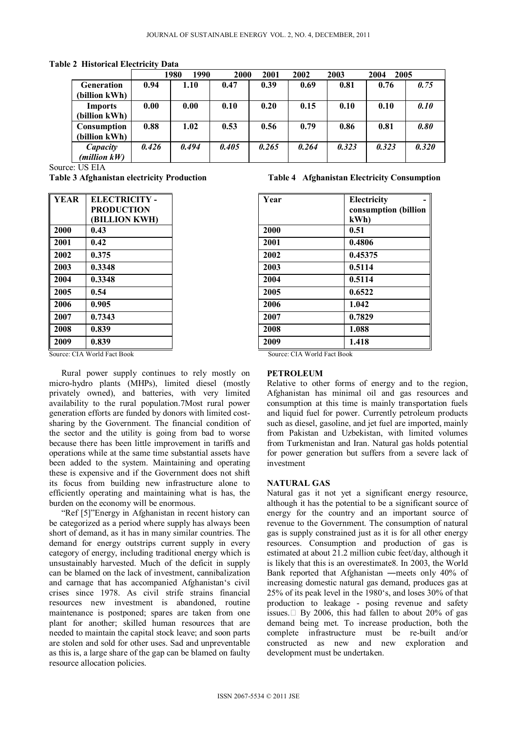**Table 2 Historical Electricity Data** 

|                   |       | 1980<br>1990 | 2000  | 2001  | 2002  | 2003  | 2005<br>2004 |       |
|-------------------|-------|--------------|-------|-------|-------|-------|--------------|-------|
| <b>Generation</b> | 0.94  | 1.10         | 0.47  | 0.39  | 0.69  | 0.81  | 0.76         | 0.75  |
| (billion kWh)     |       |              |       |       |       |       |              |       |
| <b>Imports</b>    | 0.00  | 0.00         | 0.10  | 0.20  | 0.15  | 0.10  | 0.10         | 0.10  |
| (billion kWh)     |       |              |       |       |       |       |              |       |
| Consumption       | 0.88  | 1.02         | 0.53  | 0.56  | 0.79  | 0.86  | 0.81         | 0.80  |
| (billion kWh)     |       |              |       |       |       |       |              |       |
| Capacity          | 0.426 | 0.494        | 0.405 | 0.265 | 0.264 | 0.323 | 0.323        | 0.320 |
| $(million\; kW)$  |       |              |       |       |       |       |              |       |

Source: US EIA

| <b>YEAR</b> | <b>ELECTRICITY -</b> | Year | Electri |
|-------------|----------------------|------|---------|
|             | <b>PRODUCTION</b>    |      | consur  |
|             | <b>BILLION KWH)</b>  |      | kWh     |
| 2000        | 0.43                 | 2000 | 0.51    |
| 2001        | 0.42                 | 2001 | 0.4806  |
| 2002        | 0.375                | 2002 | 0.4537  |
| 2003        | 0.3348               | 2003 | 0.5114  |
| 2004        | 0.3348               | 2004 | 0.5114  |
| 2005        | 0.54                 | 2005 | 0.6522  |
| 2006        | 0.905                | 2006 | 1.042   |
| 2007        | 0.7343               | 2007 | 0.7829  |
| 2008        | 0.839                | 2008 | 1.088   |
| 2009        | 0.839                | 2009 | 1.418   |
|             |                      |      |         |

Source: CIA World Fact Book Source: CIA World Fact Book

Rural power supply continues to rely mostly on micro-hydro plants (MHPs), limited diesel (mostly privately owned), and batteries, with very limited availability to the rural population.7Most rural power generation efforts are funded by donors with limited costsharing by the Government. The financial condition of the sector and the utility is going from bad to worse because there has been little improvement in tariffs and operations while at the same time substantial assets have been added to the system. Maintaining and operating these is expensive and if the Government does not shift its focus from building new infrastructure alone to efficiently operating and maintaining what is has, the burden on the economy will be enormous.

"Ref [5]"Energy in Afghanistan in recent history can be categorized as a period where supply has always been short of demand, as it has in many similar countries. The demand for energy outstrips current supply in every category of energy, including traditional energy which is unsustainably harvested. Much of the deficit in supply can be blamed on the lack of investment, cannibalization and carnage that has accompanied Afghanistan's civil crises since 1978. As civil strife strains financial resources new investment is abandoned, routine maintenance is postponed; spares are taken from one plant for another; skilled human resources that are needed to maintain the capital stock leave; and soon parts are stolen and sold for other uses. Sad and unpreventable as this is, a large share of the gap can be blamed on faulty resource allocation policies.

## **Table 3 Afghanistan electricity Production Table 4 Afghanistan Electricity Consumption**

| <b>YEAR</b> | <b>ELECTRICITY -</b> | Year | Electricity          |
|-------------|----------------------|------|----------------------|
|             | <b>PRODUCTION</b>    |      | consumption (billion |
|             | (BILLION KWH)        |      | kWh                  |
| 2000        | 0.43                 | 2000 | 0.51                 |
| 2001        | 0.42                 | 2001 | 0.4806               |
| 2002        | 0.375                | 2002 | 0.45375              |
| 2003        | 0.3348               | 2003 | 0.5114               |
| 2004        | 0.3348               | 2004 | 0.5114               |
| 2005        | 0.54                 | 2005 | 0.6522               |
| 2006        | 0.905                | 2006 | 1.042                |
| 2007        | 0.7343               | 2007 | 0.7829               |
| 2008        | 0.839                | 2008 | 1.088                |
| 2009        | 0.839                | 2009 | 1.418                |
|             |                      |      |                      |

#### **PETROLEUM**

Relative to other forms of energy and to the region, Afghanistan has minimal oil and gas resources and consumption at this time is mainly transportation fuels and liquid fuel for power. Currently petroleum products such as diesel, gasoline, and jet fuel are imported, mainly from Pakistan and Uzbekistan, with limited volumes from Turkmenistan and Iran. Natural gas holds potential for power generation but suffers from a severe lack of investment

# **NATURAL GAS**

Natural gas it not yet a significant energy resource, although it has the potential to be a significant source of energy for the country and an important source of revenue to the Government. The consumption of natural gas is supply constrained just as it is for all other energy resources. Consumption and production of gas is estimated at about 21.2 million cubic feet/day, although it is likely that this is an overestimate8. In 2003, the World Bank reported that Afghanistan ―meets only 40% of increasing domestic natural gas demand, produces gas at 25% of its peak level in the 1980's, and loses 30% of that production to leakage - posing revenue and safety issues.  $\Box$  By 2006, this had fallen to about 20% of gas demand being met. To increase production, both the complete infrastructure must be re-built and/or constructed as new and new exploration and development must be undertaken.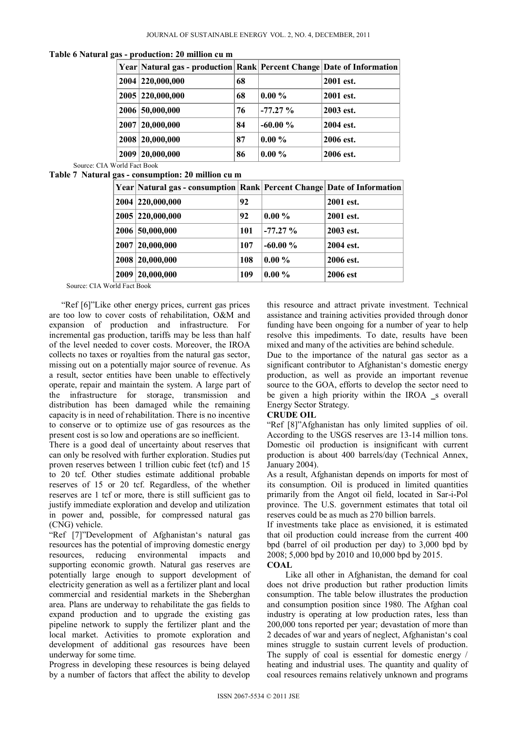**Table 6 Natural gas - production: 20 million cu m** 

|      | Year Natural gas - production Rank Percent Change Date of Information |    |           |           |
|------|-----------------------------------------------------------------------|----|-----------|-----------|
|      | 2004 220,000,000                                                      | 68 |           | 2001 est. |
|      | 2005 220,000,000                                                      | 68 | $0.00\%$  | 2001 est. |
|      | 2006 50,000,000                                                       | 76 | $-77.27%$ | 2003 est. |
| 2007 | 20,000,000                                                            | 84 | $-60.00%$ | 2004 est. |
| 2008 | 20,000,000                                                            | 87 | $0.00\%$  | 2006 est. |
| 2009 | 20,000,000                                                            | 86 | $0.00\%$  | 2006 est. |

Source: CIA World Fact Book

**Table 7 Natural gas - consumption: 20 million cu m**

| Year Natural gas - consumption Rank Percent Change Date of Information |     |           |           |
|------------------------------------------------------------------------|-----|-----------|-----------|
| 2004 220,000,000                                                       | 92  |           | 2001 est. |
| 2005 220,000,000                                                       | 92  | $0.00 \%$ | 2001 est. |
| 2006 50,000,000                                                        | 101 | $-77.27%$ | 2003 est. |
| 2007 20,000,000                                                        | 107 | $-60.00%$ | 2004 est. |
| 2008 20,000,000                                                        | 108 | $0.00 \%$ | 2006 est. |
| 2009 20,000,000                                                        | 109 | $0.00 \%$ | 2006 est  |

Source: CIA World Fact Book

"Ref [6]"Like other energy prices, current gas prices are too low to cover costs of rehabilitation, O&M and expansion of production and infrastructure. For incremental gas production, tariffs may be less than half of the level needed to cover costs. Moreover, the IROA collects no taxes or royalties from the natural gas sector, missing out on a potentially major source of revenue. As a result, sector entities have been unable to effectively operate, repair and maintain the system. A large part of the infrastructure for storage, transmission and distribution has been damaged while the remaining capacity is in need of rehabilitation. There is no incentive to conserve or to optimize use of gas resources as the present cost is so low and operations are so inefficient.

There is a good deal of uncertainty about reserves that can only be resolved with further exploration. Studies put proven reserves between 1 trillion cubic feet (tcf) and 15 to 20 tcf. Other studies estimate additional probable reserves of 15 or 20 tcf. Regardless, of the whether reserves are 1 tcf or more, there is still sufficient gas to justify immediate exploration and develop and utilization in power and, possible, for compressed natural gas (CNG) vehicle.

"Ref [7]"Development of Afghanistan's natural gas resources has the potential of improving domestic energy resources, reducing environmental impacts and supporting economic growth. Natural gas reserves are potentially large enough to support development of electricity generation as well as a fertilizer plant and local commercial and residential markets in the Sheberghan area. Plans are underway to rehabilitate the gas fields to expand production and to upgrade the existing gas pipeline network to supply the fertilizer plant and the local market. Activities to promote exploration and development of additional gas resources have been underway for some time.

Progress in developing these resources is being delayed by a number of factors that affect the ability to develop

this resource and attract private investment. Technical assistance and training activities provided through donor funding have been ongoing for a number of year to help resolve this impediments. To date, results have been mixed and many of the activities are behind schedule.

Due to the importance of the natural gas sector as a significant contributor to Afghanistan's domestic energy production, as well as provide an important revenue source to the GOA, efforts to develop the sector need to be given a high priority within the IROA s overall Energy Sector Strategy.

# **CRUDE OIL**

"Ref [8]"Afghanistan has only limited supplies of oil. According to the USGS reserves are 13-14 million tons. Domestic oil production is insignificant with current production is about 400 barrels/day (Technical Annex, January 2004).

As a result, Afghanistan depends on imports for most of its consumption. Oil is produced in limited quantities primarily from the Angot oil field, located in Sar-i-Pol province. The U.S. government estimates that total oil reserves could be as much as 270 billion barrels.

If investments take place as envisioned, it is estimated that oil production could increase from the current 400 bpd (barrel of oil production per day) to 3,000 bpd by 2008; 5,000 bpd by 2010 and 10,000 bpd by 2015.

## **COAL**

Like all other in Afghanistan, the demand for coal does not drive production but rather production limits consumption. The table below illustrates the production and consumption position since 1980. The Afghan coal industry is operating at low production rates, less than 200,000 tons reported per year; devastation of more than 2 decades of war and years of neglect, Afghanistan's coal mines struggle to sustain current levels of production. The supply of coal is essential for domestic energy / heating and industrial uses. The quantity and quality of coal resources remains relatively unknown and programs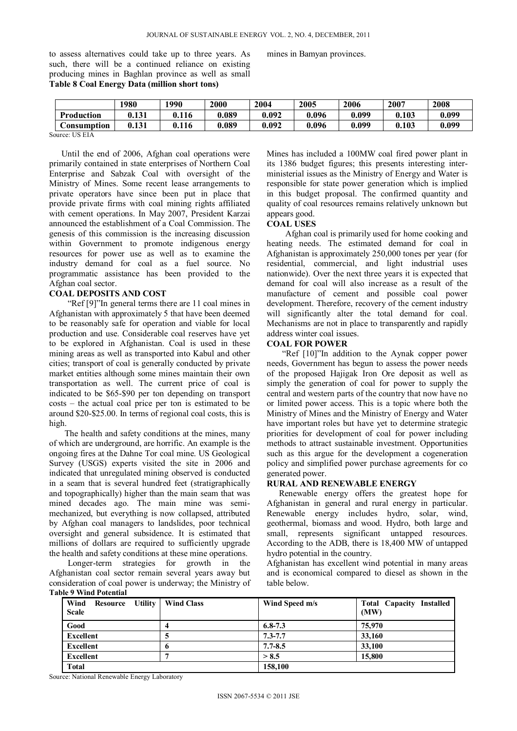to assess alternatives could take up to three years. As such, there will be a continued reliance on existing producing mines in Baghlan province as well as small **Table 8 Coal Energy Data (million short tons)** 

mines in Bamyan provinces.

|                                                       | 1980  | 1990  | 2000  | 2004  | 2005  | 2006  | 2007  | 2008  |
|-------------------------------------------------------|-------|-------|-------|-------|-------|-------|-------|-------|
| Production                                            | 131   | 0.116 | 0.089 | 0.092 | 0.096 | 0.099 | 0.103 | 0.099 |
| Consumption                                           | 0.131 | 0.116 | 0.089 | 0.092 | 0.096 | 0.099 | 0.103 | 0.099 |
| $C_{\text{out}}$ on $F_{\text{tot}}$ $F_{\text{tot}}$ |       |       |       |       |       |       |       |       |

Source: US EIA

Until the end of 2006, Afghan coal operations were primarily contained in state enterprises of Northern Coal Enterprise and Sabzak Coal with oversight of the Ministry of Mines. Some recent lease arrangements to private operators have since been put in place that provide private firms with coal mining rights affiliated with cement operations. In May 2007, President Karzai announced the establishment of a Coal Commission. The genesis of this commission is the increasing discussion within Government to promote indigenous energy resources for power use as well as to examine the industry demand for coal as a fuel source. No programmatic assistance has been provided to the Afghan coal sector.

#### **COAL DEPOSITS AND COST**

"Ref [9]"In general terms there are 11 coal mines in Afghanistan with approximately 5 that have been deemed to be reasonably safe for operation and viable for local production and use. Considerable coal reserves have yet to be explored in Afghanistan. Coal is used in these mining areas as well as transported into Kabul and other cities; transport of coal is generally conducted by private market entities although some mines maintain their own transportation as well. The current price of coal is indicated to be \$65-\$90 per ton depending on transport costs – the actual coal price per ton is estimated to be around \$20-\$25.00. In terms of regional coal costs, this is high.

The health and safety conditions at the mines, many of which are underground, are horrific. An example is the ongoing fires at the Dahne Tor coal mine. US Geological Survey (USGS) experts visited the site in 2006 and indicated that unregulated mining observed is conducted in a seam that is several hundred feet (stratigraphically and topographically) higher than the main seam that was mined decades ago. The main mine was semimechanized, but everything is now collapsed, attributed by Afghan coal managers to landslides, poor technical oversight and general subsidence. It is estimated that millions of dollars are required to sufficiently upgrade the health and safety conditions at these mine operations.

Longer-term strategies for growth in the Afghanistan coal sector remain several years away but consideration of coal power is underway; the Ministry of **Table 9 Wind Potential**

Mines has included a 100MW coal fired power plant in its 1386 budget figures; this presents interesting interministerial issues as the Ministry of Energy and Water is responsible for state power generation which is implied in this budget proposal. The confirmed quantity and quality of coal resources remains relatively unknown but appears good.

#### **COAL USES**

Afghan coal is primarily used for home cooking and heating needs. The estimated demand for coal in Afghanistan is approximately 250,000 tones per year (for residential, commercial, and light industrial uses nationwide). Over the next three years it is expected that demand for coal will also increase as a result of the manufacture of cement and possible coal power development. Therefore, recovery of the cement industry will significantly alter the total demand for coal. Mechanisms are not in place to transparently and rapidly address winter coal issues.

#### **COAL FOR POWER**

 "Ref [10]"In addition to the Aynak copper power needs, Government has begun to assess the power needs of the proposed Hajigak Iron Ore deposit as well as simply the generation of coal for power to supply the central and western parts of the country that now have no or limited power access. This is a topic where both the Ministry of Mines and the Ministry of Energy and Water have important roles but have yet to determine strategic priorities for development of coal for power including methods to attract sustainable investment. Opportunities such as this argue for the development a cogeneration policy and simplified power purchase agreements for co generated power.

# **RURAL AND RENEWABLE ENERGY**

 Renewable energy offers the greatest hope for Afghanistan in general and rural energy in particular. Renewable energy includes hydro, solar, wind, geothermal, biomass and wood. Hydro, both large and small, represents significant untapped resources. According to the ADB, there is 18,400 MW of untapped hydro potential in the country.

Afghanistan has excellent wind potential in many areas and is economical compared to diesel as shown in the table below.

| аок 7  w ши 1 окинан                     |                   |                |                                         |  |  |  |  |
|------------------------------------------|-------------------|----------------|-----------------------------------------|--|--|--|--|
| Wind<br>Resource Utility<br><b>Scale</b> | <b>Wind Class</b> | Wind Speed m/s | <b>Total Capacity Installed</b><br>(MW) |  |  |  |  |
| Good                                     | 4                 | $6.8 - 7.3$    | 75,970                                  |  |  |  |  |
| <b>Excellent</b>                         | A.                | $7.3 - 7.7$    | 33,160                                  |  |  |  |  |
| <b>Excellent</b>                         | 6                 | $7.7 - 8.5$    | 33,100                                  |  |  |  |  |
| <b>Excellent</b>                         |                   | > 8.5          | 15,800                                  |  |  |  |  |
| Total                                    |                   | 158,100        |                                         |  |  |  |  |

Source: National Renewable Energy Laboratory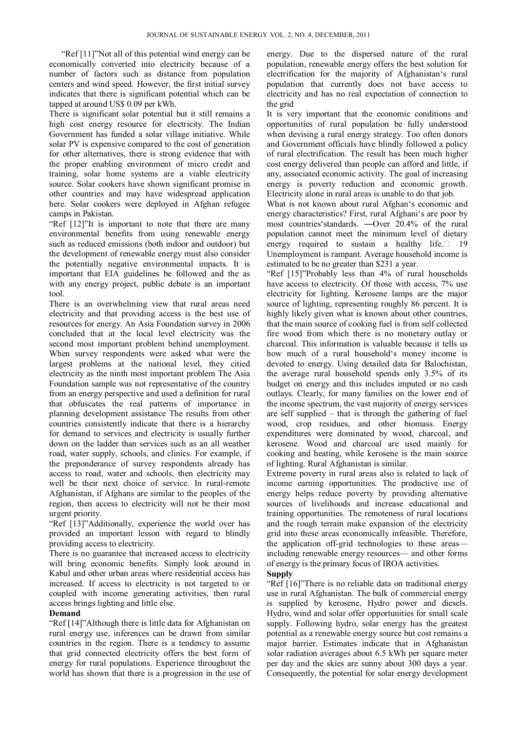"Ref [11]"Not all of this potential wind energy can be economically converted into electricity because of a number of factors such as distance from population centers and wind speed. However, the first initial survey indicates that there is significant potential which can be tapped at around US\$ 0.09 per kWh.

There is significant solar potential but it still remains a high cost energy resource for electricity. The Indian Government has funded a solar village initiative. While solar PV is expensive compared to the cost of generation for other alternatives, there is strong evidence that with the proper enabling environment of micro credit and training, solar home systems are a viable electricity source. Solar cookers have shown significant promise in other countries and may have widespread application here. Solar cookers were deployed in Afghan refugee camps in Pakistan.

"Ref [12]"It is important to note that there are many environmental benefits from using renewable energy such as reduced emissions (both indoor and outdoor) but the development of renewable energy must also consider the potentially negative environmental impacts. It is important that EIA guidelines be followed and the as with any energy project, public debate is an important tool.

There is an overwhelming view that rural areas need electricity and that providing access is the best use of resources for energy. An Asia Foundation survey in 2006 concluded that at the local level electricity was the second most important problem behind unemployment. When survey respondents were asked what were the largest problems at the national level, they citied electricity as the ninth most important problem The Asia Foundation sample was not representative of the country from an energy perspective and used a definition for rural that obfuscates the real patterns of importance in planning development assistance The results from other countries consistently indicate that there is a hierarchy for demand to services and electricity is usually further down on the ladder than services such as an all weather road, water supply, schools, and clinics. For example, if the preponderance of survey respondents already has access to road, water and schools, then electricity may well be their next choice of service. In rural-remote Afghanistan, if Afghans are similar to the peoples of the region, then access to electricity will not be their most urgent priority.

"Ref [13]"Additionally, experience the world over has provided an important lesson with regard to blindly providing access to electricity.

There is no guarantee that increased access to electricity will bring economic benefits. Simply look around in Kabul and other urban areas where residential access has increased. If access to electricity is not targeted to or coupled with income generating activities, then rural access brings lighting and little else.

#### **Demand**

"Ref [14]"Although there is little data for Afghanistan on rural energy use, inferences can be drawn from similar countries in the region. There is a tendency to assume that grid connected electricity offers the best form of energy for rural populations. Experience throughout the world has shown that there is a progression in the use of

energy. Due to the dispersed nature of the rural population, renewable energy offers the best solution for electrification for the majority of Afghanistan's rural population that currently does not have access to electricity and has no real expectation of connection to the grid

It is very important that the economic conditions and opportunities of rural population be fully understood when devising a rural energy strategy. Too often donors and Government officials have blindly followed a policy of rural electrification. The result has been much higher cost energy delivered than people can afford and little, if any, associated economic activity. The goal of increasing energy is poverty reduction and economic growth. Electricity alone in rural areas is unable to do that job.

What is not known about rural Afghan's economic and energy characteristics? First, rural Afghani's are poor by most countries'standards. ―Over 20.4% of the rural population cannot meet the minimum level of dietary energy required to sustain a healthy life. $\Box$  19 Unemployment is rampant. Average household income is estimated to be no greater than \$231 a year.

"Ref [15]"Probably less than 4% of rural households have access to electricity. Of those with access, 7% use electricity for lighting. Kerosene lamps are the major source of lighting, representing roughly 86 percent. It is highly likely given what is known about other countries, that the main source of cooking fuel is from self collected fire wood from which there is no monetary outlay or charcoal. This information is valuable because it tells us how much of a rural household's money income is devoted to energy. Using detailed data for Balochistan, the average rural household spends only 3.5% of its budget on energy and this includes imputed or no cash outlays. Clearly, for many families on the lower end of the income spectrum, the vast majority of energy services are self supplied – that is through the gathering of fuel wood, crop residues, and other biomass. Energy expenditures were dominated by wood, charcoal, and kerosene. Wood and charcoal are used mainly for cooking and heating, while kerosene is the main source of lighting. Rural Afghanistan is similar.

Extreme poverty in rural areas also is related to lack of income earning opportunities. The productive use of energy helps reduce poverty by providing alternative sources of livelihoods and increase educational and training opportunities. The remoteness of rural locations and the rough terrain make expansion of the electricity grid into these areas economically infeasible. Therefore, the application off-grid technologies to these areas including renewable energy resources— and other forms of energy is the primary focus of IROA activities.

#### **Supply**

"Ref [16]"There is no reliable data on traditional energy use in rural Afghanistan. The bulk of commercial energy is supplied by kerosene, Hydro power and diesels. Hydro, wind and solar offer opportunities for small scale supply. Following hydro, solar energy has the greatest potential as a renewable energy source but cost remains a major barrier. Estimates indicate that in Afghanistan solar radiation averages about 6.5 kWh per square meter per day and the skies are sunny about 300 days a year. Consequently, the potential for solar energy development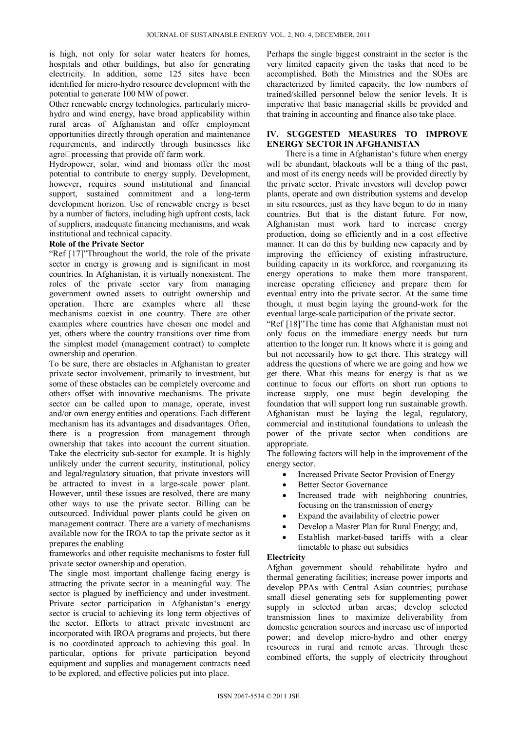is high, not only for solar water heaters for homes, hospitals and other buildings, but also for generating electricity. In addition, some 125 sites have been identified for micro-hydro resource development with the potential to generate 100 MW of power.

Other renewable energy technologies, particularly microhydro and wind energy, have broad applicability within rural areas of Afghanistan and offer employment opportunities directly through operation and maintenance requirements, and indirectly through businesses like agro $\Box$ processing that provide off farm work.

Hydropower, solar, wind and biomass offer the most potential to contribute to energy supply. Development, however, requires sound institutional and financial support, sustained commitment and a long-term development horizon. Use of renewable energy is beset by a number of factors, including high upfront costs, lack of suppliers, inadequate financing mechanisms, and weak institutional and technical capacity.

# **Role of the Private Sector**

"Ref [17]"Throughout the world, the role of the private sector in energy is growing and is significant in most countries. In Afghanistan, it is virtually nonexistent. The roles of the private sector vary from managing government owned assets to outright ownership and operation. There are examples where all these mechanisms coexist in one country. There are other examples where countries have chosen one model and yet, others where the country transitions over time from the simplest model (management contract) to complete ownership and operation.

To be sure, there are obstacles in Afghanistan to greater private sector involvement, primarily to investment, but some of these obstacles can be completely overcome and others offset with innovative mechanisms. The private sector can be called upon to manage, operate, invest and/or own energy entities and operations. Each different mechanism has its advantages and disadvantages. Often, there is a progression from management through ownership that takes into account the current situation. Take the electricity sub-sector for example. It is highly unlikely under the current security, institutional, policy and legal/regulatory situation, that private investors will be attracted to invest in a large-scale power plant. However, until these issues are resolved, there are many other ways to use the private sector. Billing can be outsourced. Individual power plants could be given on management contract. There are a variety of mechanisms available now for the IROA to tap the private sector as it prepares the enabling

frameworks and other requisite mechanisms to foster full private sector ownership and operation.

The single most important challenge facing energy is attracting the private sector in a meaningful way. The sector is plagued by inefficiency and under investment. Private sector participation in Afghanistan's energy sector is crucial to achieving its long term objectives of the sector. Efforts to attract private investment are incorporated with IROA programs and projects, but there is no coordinated approach to achieving this goal. In particular, options for private participation beyond equipment and supplies and management contracts need to be explored, and effective policies put into place.

Perhaps the single biggest constraint in the sector is the very limited capacity given the tasks that need to be accomplished. Both the Ministries and the SOEs are characterized by limited capacity, the low numbers of trained/skilled personnel below the senior levels. It is imperative that basic managerial skills be provided and that training in accounting and finance also take place.

# **IV. SUGGESTED MEASURES TO IMPROVE ENERGY SECTOR IN AFGHANISTAN**

 There is a time in Afghanistan's future when energy will be abundant, blackouts will be a thing of the past, and most of its energy needs will be provided directly by the private sector. Private investors will develop power plants, operate and own distribution systems and develop in situ resources, just as they have begun to do in many countries. But that is the distant future. For now, Afghanistan must work hard to increase energy production, doing so efficiently and in a cost effective manner. It can do this by building new capacity and by improving the efficiency of existing infrastructure, building capacity in its workforce, and reorganizing its energy operations to make them more transparent, increase operating efficiency and prepare them for eventual entry into the private sector. At the same time though, it must begin laying the ground-work for the eventual large-scale participation of the private sector.

"Ref [18]"The time has come that Afghanistan must not only focus on the immediate energy needs but turn attention to the longer run. It knows where it is going and but not necessarily how to get there. This strategy will address the questions of where we are going and how we get there. What this means for energy is that as we continue to focus our efforts on short run options to increase supply, one must begin developing the foundation that will support long run sustainable growth. Afghanistan must be laying the legal, regulatory, commercial and institutional foundations to unleash the power of the private sector when conditions are appropriate.

The following factors will help in the improvement of the energy sector.

- Increased Private Sector Provision of Energy
- Better Sector Governance
- Increased trade with neighboring countries, focusing on the transmission of energy
- Expand the availability of electric power
- Develop a Master Plan for Rural Energy; and,
- Establish market-based tariffs with a clear timetable to phase out subsidies

# **Electricity**

Afghan government should rehabilitate hydro and thermal generating facilities; increase power imports and develop PPAs with Central Asian countries; purchase small diesel generating sets for supplementing power supply in selected urban areas; develop selected transmission lines to maximize deliverability from domestic generation sources and increase use of imported power; and develop micro-hydro and other energy resources in rural and remote areas. Through these combined efforts, the supply of electricity throughout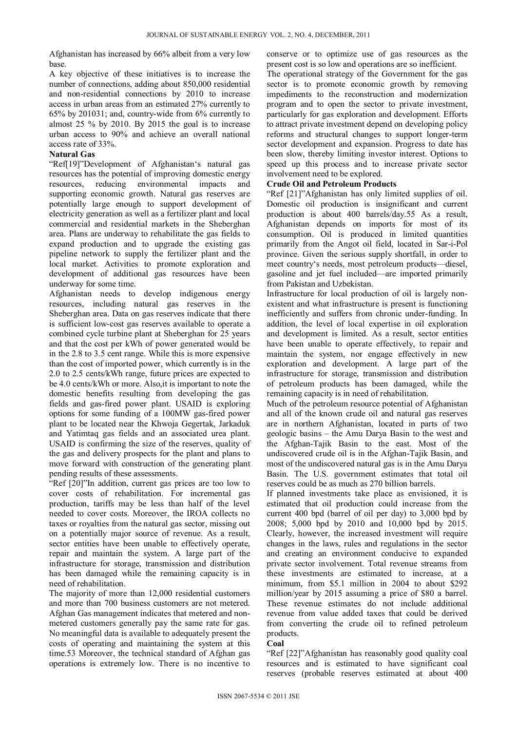Afghanistan has increased by 66% albeit from a very low base.

A key objective of these initiatives is to increase the number of connections, adding about 850,000 residential and non-residential connections by 2010 to increase access in urban areas from an estimated 27% currently to 65% by 201031; and, country-wide from 6% currently to almost 25 % by 2010. By 2015 the goal is to increase urban access to 90% and achieve an overall national access rate of 33%.

# **Natural Gas**

"Ref[19]"Development of Afghanistan's natural gas resources has the potential of improving domestic energy resources, reducing environmental impacts and supporting economic growth. Natural gas reserves are potentially large enough to support development of electricity generation as well as a fertilizer plant and local commercial and residential markets in the Sheberghan area. Plans are underway to rehabilitate the gas fields to expand production and to upgrade the existing gas pipeline network to supply the fertilizer plant and the local market. Activities to promote exploration and development of additional gas resources have been underway for some time.

Afghanistan needs to develop indigenous energy resources, including natural gas reserves in the Sheberghan area. Data on gas reserves indicate that there is sufficient low-cost gas reserves available to operate a combined cycle turbine plant at Sheberghan for 25 years and that the cost per kWh of power generated would be in the 2.8 to 3.5 cent range. While this is more expensive than the cost of imported power, which currently is in the 2.0 to 2.5 cents/kWh range, future prices are expected to be 4.0 cents/kWh or more. Also,it is important to note the domestic benefits resulting from developing the gas fields and gas-fired power plant. USAID is exploring options for some funding of a 100MW gas-fired power plant to be located near the Khwoja Gegertak, Jarkaduk and Yatimtaq gas fields and an associated urea plant. USAID is confirming the size of the reserves, quality of the gas and delivery prospects for the plant and plans to move forward with construction of the generating plant pending results of these assessments.

"Ref [20]"In addition, current gas prices are too low to cover costs of rehabilitation. For incremental gas production, tariffs may be less than half of the level needed to cover costs. Moreover, the IROA collects no taxes or royalties from the natural gas sector, missing out on a potentially major source of revenue. As a result, sector entities have been unable to effectively operate, repair and maintain the system. A large part of the infrastructure for storage, transmission and distribution has been damaged while the remaining capacity is in need of rehabilitation.

The majority of more than 12,000 residential customers and more than 700 business customers are not metered. Afghan Gas management indicates that metered and nonmetered customers generally pay the same rate for gas. No meaningful data is available to adequately present the costs of operating and maintaining the system at this time.53 Moreover, the technical standard of Afghan gas operations is extremely low. There is no incentive to

conserve or to optimize use of gas resources as the present cost is so low and operations are so inefficient.

The operational strategy of the Government for the gas sector is to promote economic growth by removing impediments to the reconstruction and modernization program and to open the sector to private investment, particularly for gas exploration and development. Efforts to attract private investment depend on developing policy reforms and structural changes to support longer-term sector development and expansion. Progress to date has been slow, thereby limiting investor interest. Options to speed up this process and to increase private sector involvement need to be explored.

# **Crude Oil and Petroleum Products**

"Ref [21]"Afghanistan has only limited supplies of oil. Domestic oil production is insignificant and current production is about 400 barrels/day.55 As a result, Afghanistan depends on imports for most of its consumption. Oil is produced in limited quantities primarily from the Angot oil field, located in Sar-i-Pol province. Given the serious supply shortfall, in order to meet country's needs, most petroleum products—diesel, gasoline and jet fuel included—are imported primarily from Pakistan and Uzbekistan.

Infrastructure for local production of oil is largely nonexistent and what infrastructure is present is functioning inefficiently and suffers from chronic under-funding. In addition, the level of local expertise in oil exploration and development is limited. As a result, sector entities have been unable to operate effectively, to repair and maintain the system, nor engage effectively in new exploration and development. A large part of the infrastructure for storage, transmission and distribution of petroleum products has been damaged, while the remaining capacity is in need of rehabilitation.

Much of the petroleum resource potential of Afghanistan and all of the known crude oil and natural gas reserves are in northern Afghanistan, located in parts of two geologic basins – the Amu Darya Basin to the west and the Afghan-Tajik Basin to the east. Most of the undiscovered crude oil is in the Afghan-Tajik Basin, and most of the undiscovered natural gas is in the Amu Darya Basin. The U.S. government estimates that total oil reserves could be as much as 270 billion barrels.

If planned investments take place as envisioned, it is estimated that oil production could increase from the current 400 bpd (barrel of oil per day) to 3,000 bpd by 2008; 5,000 bpd by 2010 and 10,000 bpd by 2015. Clearly, however, the increased investment will require changes in the laws, rules and regulations in the sector and creating an environment conducive to expanded private sector involvement. Total revenue streams from these investments are estimated to increase, at a minimum, from \$5.1 million in 2004 to about \$292 million/year by 2015 assuming a price of \$80 a barrel. These revenue estimates do not include additional revenue from value added taxes that could be derived from converting the crude oil to refined petroleum products.

#### **Coal**

"Ref [22]"Afghanistan has reasonably good quality coal resources and is estimated to have significant coal reserves (probable reserves estimated at about 400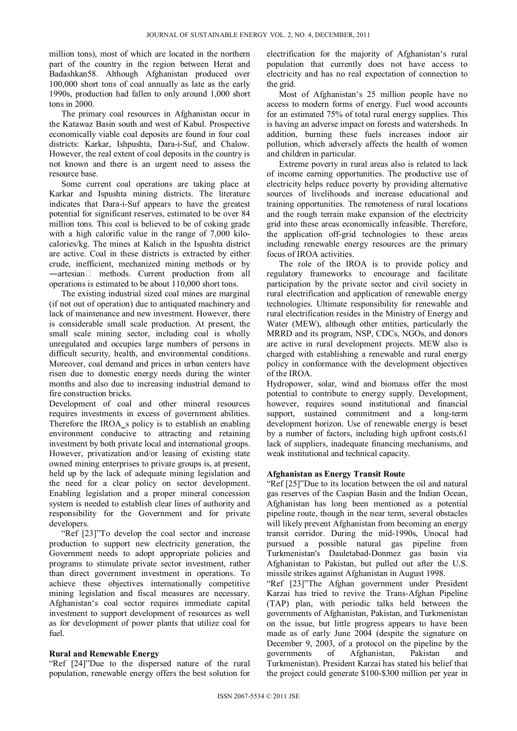million tons), most of which are located in the northern part of the country in the region between Herat and Badashkan58. Although Afghanistan produced over 100,000 short tons of coal annually as late as the early 1990s, production had fallen to only around 1,000 short tons in 2000.

The primary coal resources in Afghanistan occur in the Katawaz Basin south and west of Kabul. Prospective economically viable coal deposits are found in four coal districts: Karkar, Ishpushta, Dara-i-Suf, and Chalow. However, the real extent of coal deposits in the country is not known and there is an urgent need to assess the resource base.

Some current coal operations are taking place at Karkar and Ispushta mining districts. The literature indicates that Dara-i-Suf appears to have the greatest potential for significant reserves, estimated to be over 84 million tons. This coal is believed to be of coking grade with a high calorific value in the range of 7,000 kilocalories/kg. The mines at Kalich in the Ispushta district are active. Coal in these districts is extracted by either crude, inefficient, mechanized mining methods or by ―artesian methods. Current production from all operations is estimated to be about 110,000 short tons.

The existing industrial sized coal mines are marginal (if not out of operation) due to antiquated machinery and lack of maintenance and new investment. However, there is considerable small scale production. At present, the small scale mining sector, including coal is wholly unregulated and occupies large numbers of persons in difficult security, health, and environmental conditions. Moreover, coal demand and prices in urban centers have risen due to domestic energy needs during the winter months and also due to increasing industrial demand to fire construction bricks.

Development of coal and other mineral resources requires investments in excess of government abilities. Therefore the IROA s policy is to establish an enabling environment conducive to attracting and retaining investment by both private local and international groups. However, privatization and/or leasing of existing state owned mining enterprises to private groups is, at present, held up by the lack of adequate mining legislation and the need for a clear policy on sector development. Enabling legislation and a proper mineral concession system is needed to establish clear lines of authority and responsibility for the Government and for private developers.

"Ref [23]"To develop the coal sector and increase production to support new electricity generation, the Government needs to adopt appropriate policies and programs to stimulate private sector investment, rather than direct government investment in operations. To achieve these objectives internationally competitive mining legislation and fiscal measures are necessary. Afghanistan's coal sector requires immediate capital investment to support development of resources as well as for development of power plants that utilize coal for fuel.

# **Rural and Renewable Energy**

"Ref [24]"Due to the dispersed nature of the rural population, renewable energy offers the best solution for

electrification for the majority of Afghanistan's rural population that currently does not have access to electricity and has no real expectation of connection to the grid.

Most of Afghanistan's 25 million people have no access to modern forms of energy. Fuel wood accounts for an estimated 75% of total rural energy supplies. This is having an adverse impact on forests and watersheds. In addition, burning these fuels increases indoor air pollution, which adversely affects the health of women and children in particular.

Extreme poverty in rural areas also is related to lack of income earning opportunities. The productive use of electricity helps reduce poverty by providing alternative sources of livelihoods and increase educational and training opportunities. The remoteness of rural locations and the rough terrain make expansion of the electricity grid into these areas economically infeasible. Therefore, the application off-grid technologies to these areas including renewable energy resources are the primary focus of IROA activities.

The role of the IROA is to provide policy and regulatory frameworks to encourage and facilitate participation by the private sector and civil society in rural electrification and application of renewable energy technologies. Ultimate responsibility for renewable and rural electrification resides in the Ministry of Energy and Water (MEW), although other entities, particularly the MRRD and its program, NSP, CDCs, NGOs, and donors are active in rural development projects. MEW also is charged with establishing a renewable and rural energy policy in conformance with the development objectives of the IROA.

Hydropower, solar, wind and biomass offer the most potential to contribute to energy supply. Development, however, requires sound institutional and financial support, sustained commitment and a long-term development horizon. Use of renewable energy is beset by a number of factors, including high upfront costs,61 lack of suppliers, inadequate financing mechanisms, and weak institutional and technical capacity.

# **Afghanistan as Energy Transit Route**

"Ref [25]"Due to its location between the oil and natural gas reserves of the Caspian Basin and the Indian Ocean, Afghanistan has long been mentioned as a potential pipeline route, though in the near term, several obstacles will likely prevent Afghanistan from becoming an energy transit corridor. During the mid-1990s, Unocal had pursued a possible natural gas pipeline from Turkmenistan's Dauletabad-Donmez gas basin via Afghanistan to Pakistan, but pulled out after the U.S. missile strikes against Afghanistan in August 1998.

"Ref [23]"The Afghan government under President Karzai has tried to revive the Trans-Afghan Pipeline (TAP) plan, with periodic talks held between the governments of Afghanistan, Pakistan, and Turkmenistan on the issue, but little progress appears to have been made as of early June 2004 (despite the signature on December 9, 2003, of a protocol on the pipeline by the governments of Afghanistan, Pakistan and of Afghanistan, Pakistan and Turkmenistan). President Karzai has stated his belief that the project could generate \$100-\$300 million per year in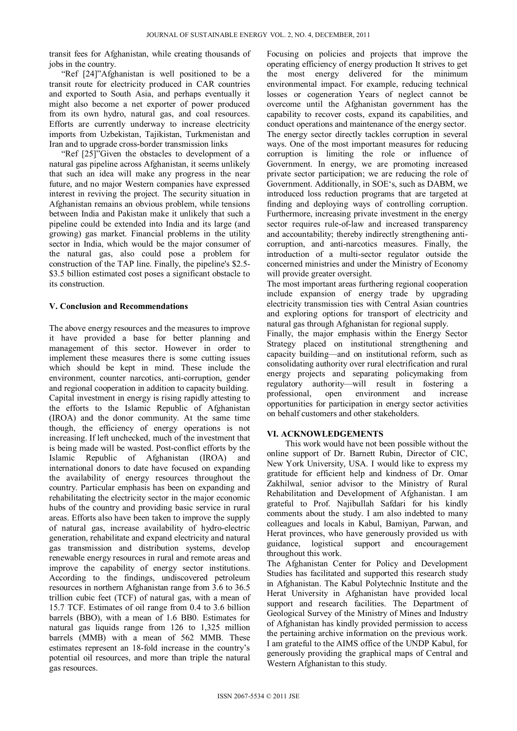transit fees for Afghanistan, while creating thousands of jobs in the country.

"Ref [24]"Afghanistan is well positioned to be a transit route for electricity produced in CAR countries and exported to South Asia, and perhaps eventually it might also become a net exporter of power produced from its own hydro, natural gas, and coal resources. Efforts are currently underway to increase electricity imports from Uzbekistan, Tajikistan, Turkmenistan and Iran and to upgrade cross-border transmission links

"Ref [25]"Given the obstacles to development of a natural gas pipeline across Afghanistan, it seems unlikely that such an idea will make any progress in the near future, and no major Western companies have expressed interest in reviving the project. The security situation in Afghanistan remains an obvious problem, while tensions between India and Pakistan make it unlikely that such a pipeline could be extended into India and its large (and growing) gas market. Financial problems in the utility sector in India, which would be the major consumer of the natural gas, also could pose a problem for construction of the TAP line. Finally, the pipeline's \$2.5- \$3.5 billion estimated cost poses a significant obstacle to its construction.

## **V. Conclusion and Recommendations**

The above energy resources and the measures to improve it have provided a base for better planning and management of this sector. However in order to implement these measures there is some cutting issues which should be kept in mind. These include the environment, counter narcotics, anti-corruption, gender and regional cooperation in addition to capacity building. Capital investment in energy is rising rapidly attesting to the efforts to the Islamic Republic of Afghanistan (IROA) and the donor community. At the same time though, the efficiency of energy operations is not increasing. If left unchecked, much of the investment that is being made will be wasted. Post-conflict efforts by the Islamic Republic of Afghanistan (IROA) and international donors to date have focused on expanding the availability of energy resources throughout the country. Particular emphasis has been on expanding and rehabilitating the electricity sector in the major economic hubs of the country and providing basic service in rural areas. Efforts also have been taken to improve the supply of natural gas, increase availability of hydro-electric generation, rehabilitate and expand electricity and natural gas transmission and distribution systems, develop renewable energy resources in rural and remote areas and improve the capability of energy sector institutions. According to the findings, undiscovered petroleum resources in northern Afghanistan range from 3.6 to 36.5 trillion cubic feet (TCF) of natural gas, with a mean of 15.7 TCF. Estimates of oil range from 0.4 to 3.6 billion barrels (BBO), with a mean of 1.6 BB0. Estimates for natural gas liquids range from 126 to 1,325 million barrels (MMB) with a mean of 562 MMB. These estimates represent an 18-fold increase in the country's potential oil resources, and more than triple the natural gas resources.

Focusing on policies and projects that improve the operating efficiency of energy production It strives to get the most energy delivered for the minimum environmental impact. For example, reducing technical losses or cogeneration Years of neglect cannot be overcome until the Afghanistan government has the capability to recover costs, expand its capabilities, and conduct operations and maintenance of the energy sector. The energy sector directly tackles corruption in several ways. One of the most important measures for reducing corruption is limiting the role or influence of Government. In energy, we are promoting increased private sector participation; we are reducing the role of Government. Additionally, in SOE's, such as DABM, we introduced loss reduction programs that are targeted at finding and deploying ways of controlling corruption. Furthermore, increasing private investment in the energy sector requires rule-of-law and increased transparency and accountability; thereby indirectly strengthening anticorruption, and anti-narcotics measures. Finally, the introduction of a multi-sector regulator outside the concerned ministries and under the Ministry of Economy will provide greater oversight.

The most important areas furthering regional cooperation include expansion of energy trade by upgrading electricity transmission ties with Central Asian countries and exploring options for transport of electricity and natural gas through Afghanistan for regional supply.

Finally, the major emphasis within the Energy Sector Strategy placed on institutional strengthening and capacity building—and on institutional reform, such as consolidating authority over rural electrification and rural energy projects and separating policymaking from regulatory authority—will result in fostering a professional, open environment and increase opportunities for participation in energy sector activities on behalf customers and other stakeholders.

# **VI. ACKNOWLEDGEMENTS**

This work would have not been possible without the online support of Dr. Barnett Rubin, Director of CIC, New York University, USA. I would like to express my gratitude for efficient help and kindness of Dr. Omar Zakhilwal, senior advisor to the Ministry of Rural Rehabilitation and Development of Afghanistan. I am grateful to Prof. Najibullah Safdari for his kindly comments about the study. I am also indebted to many colleagues and locals in Kabul, Bamiyan, Parwan, and Herat provinces, who have generously provided us with guidance, logistical support and encouragement throughout this work.

The Afghanistan Center for Policy and Development Studies has facilitated and supported this research study in Afghanistan. The Kabul Polytechnic Institute and the Herat University in Afghanistan have provided local support and research facilities. The Department of Geological Survey of the Ministry of Mines and Industry of Afghanistan has kindly provided permission to access the pertaining archive information on the previous work. I am grateful to the AIMS office of the UNDP Kabul, for generously providing the graphical maps of Central and Western Afghanistan to this study.